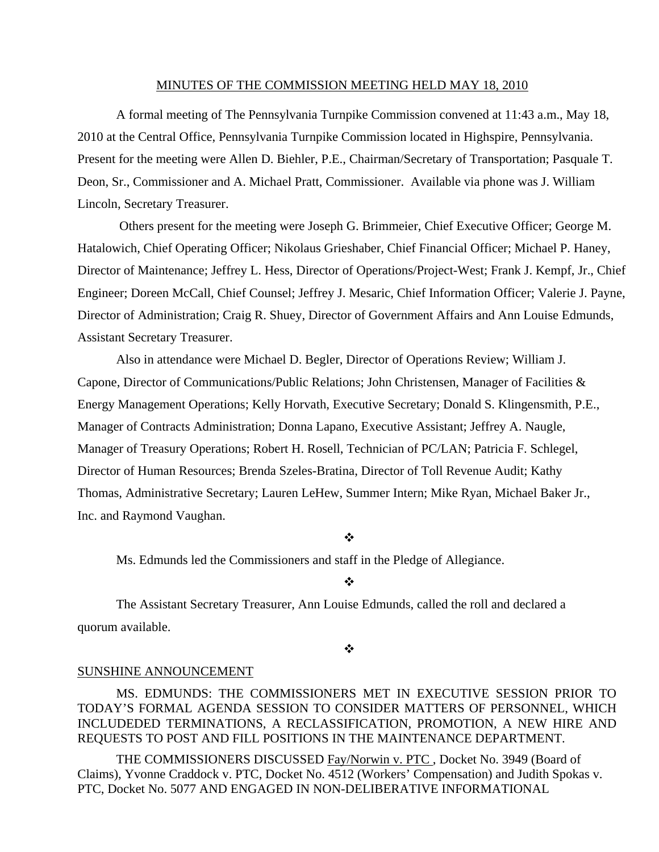### MINUTES OF THE COMMISSION MEETING HELD MAY 18, 2010

 A formal meeting of The Pennsylvania Turnpike Commission convened at 11:43 a.m., May 18, 2010 at the Central Office, Pennsylvania Turnpike Commission located in Highspire, Pennsylvania. Present for the meeting were Allen D. Biehler, P.E., Chairman/Secretary of Transportation; Pasquale T. Deon, Sr., Commissioner and A. Michael Pratt, Commissioner. Available via phone was J. William Lincoln, Secretary Treasurer.

 Others present for the meeting were Joseph G. Brimmeier, Chief Executive Officer; George M. Hatalowich, Chief Operating Officer; Nikolaus Grieshaber, Chief Financial Officer; Michael P. Haney, Director of Maintenance; Jeffrey L. Hess, Director of Operations/Project-West; Frank J. Kempf, Jr., Chief Engineer; Doreen McCall, Chief Counsel; Jeffrey J. Mesaric, Chief Information Officer; Valerie J. Payne, Director of Administration; Craig R. Shuey, Director of Government Affairs and Ann Louise Edmunds, Assistant Secretary Treasurer.

Also in attendance were Michael D. Begler, Director of Operations Review; William J. Capone, Director of Communications/Public Relations; John Christensen, Manager of Facilities & Energy Management Operations; Kelly Horvath, Executive Secretary; Donald S. Klingensmith, P.E., Manager of Contracts Administration; Donna Lapano, Executive Assistant; Jeffrey A. Naugle, Manager of Treasury Operations; Robert H. Rosell, Technician of PC/LAN; Patricia F. Schlegel, Director of Human Resources; Brenda Szeles-Bratina, Director of Toll Revenue Audit; Kathy Thomas, Administrative Secretary; Lauren LeHew, Summer Intern; Mike Ryan, Michael Baker Jr., Inc. and Raymond Vaughan.

❖

Ms. Edmunds led the Commissioners and staff in the Pledge of Allegiance.

### $\frac{1}{2}$

The Assistant Secretary Treasurer, Ann Louise Edmunds, called the roll and declared a quorum available.

❖

### SUNSHINE ANNOUNCEMENT

MS. EDMUNDS: THE COMMISSIONERS MET IN EXECUTIVE SESSION PRIOR TO TODAY'S FORMAL AGENDA SESSION TO CONSIDER MATTERS OF PERSONNEL, WHICH INCLUDEDED TERMINATIONS, A RECLASSIFICATION, PROMOTION, A NEW HIRE AND REQUESTS TO POST AND FILL POSITIONS IN THE MAINTENANCE DEPARTMENT.

THE COMMISSIONERS DISCUSSED Fay/Norwin v. PTC , Docket No. 3949 (Board of Claims), Yvonne Craddock v. PTC, Docket No. 4512 (Workers' Compensation) and Judith Spokas v. PTC, Docket No. 5077 AND ENGAGED IN NON-DELIBERATIVE INFORMATIONAL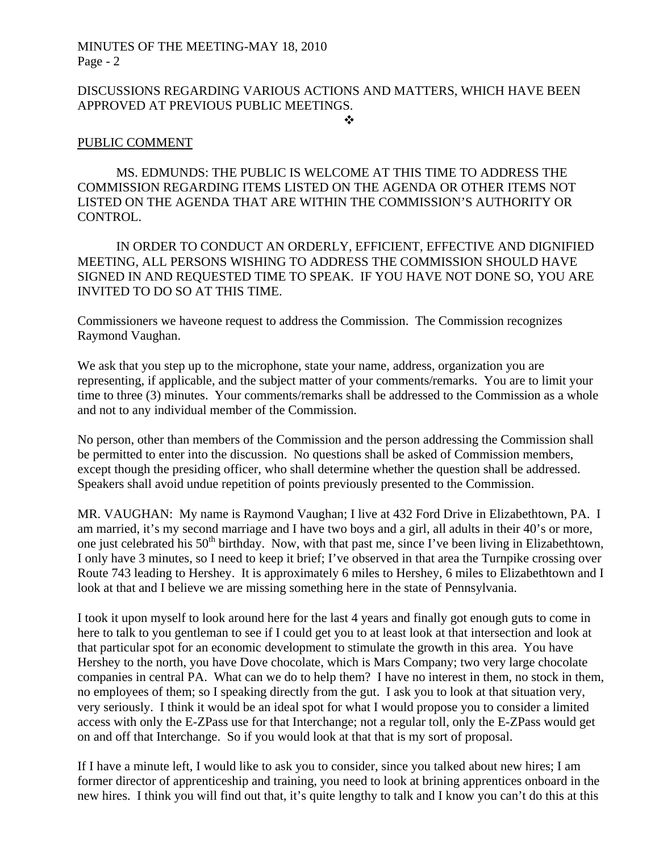# DISCUSSIONS REGARDING VARIOUS ACTIONS AND MATTERS, WHICH HAVE BEEN APPROVED AT PREVIOUS PUBLIC MEETINGS.

### ❖

# PUBLIC COMMENT

MS. EDMUNDS: THE PUBLIC IS WELCOME AT THIS TIME TO ADDRESS THE COMMISSION REGARDING ITEMS LISTED ON THE AGENDA OR OTHER ITEMS NOT LISTED ON THE AGENDA THAT ARE WITHIN THE COMMISSION'S AUTHORITY OR CONTROL.

IN ORDER TO CONDUCT AN ORDERLY, EFFICIENT, EFFECTIVE AND DIGNIFIED MEETING, ALL PERSONS WISHING TO ADDRESS THE COMMISSION SHOULD HAVE SIGNED IN AND REQUESTED TIME TO SPEAK. IF YOU HAVE NOT DONE SO, YOU ARE INVITED TO DO SO AT THIS TIME.

Commissioners we haveone request to address the Commission. The Commission recognizes Raymond Vaughan.

We ask that you step up to the microphone, state your name, address, organization you are representing, if applicable, and the subject matter of your comments/remarks. You are to limit your time to three (3) minutes. Your comments/remarks shall be addressed to the Commission as a whole and not to any individual member of the Commission.

No person, other than members of the Commission and the person addressing the Commission shall be permitted to enter into the discussion. No questions shall be asked of Commission members, except though the presiding officer, who shall determine whether the question shall be addressed. Speakers shall avoid undue repetition of points previously presented to the Commission.

MR. VAUGHAN: My name is Raymond Vaughan; I live at 432 Ford Drive in Elizabethtown, PA. I am married, it's my second marriage and I have two boys and a girl, all adults in their 40's or more, one just celebrated his  $50<sup>th</sup>$  birthday. Now, with that past me, since I've been living in Elizabethtown, I only have 3 minutes, so I need to keep it brief; I've observed in that area the Turnpike crossing over Route 743 leading to Hershey. It is approximately 6 miles to Hershey, 6 miles to Elizabethtown and I look at that and I believe we are missing something here in the state of Pennsylvania.

I took it upon myself to look around here for the last 4 years and finally got enough guts to come in here to talk to you gentleman to see if I could get you to at least look at that intersection and look at that particular spot for an economic development to stimulate the growth in this area. You have Hershey to the north, you have Dove chocolate, which is Mars Company; two very large chocolate companies in central PA. What can we do to help them? I have no interest in them, no stock in them, no employees of them; so I speaking directly from the gut. I ask you to look at that situation very, very seriously. I think it would be an ideal spot for what I would propose you to consider a limited access with only the E-ZPass use for that Interchange; not a regular toll, only the E-ZPass would get on and off that Interchange. So if you would look at that that is my sort of proposal.

If I have a minute left, I would like to ask you to consider, since you talked about new hires; I am former director of apprenticeship and training, you need to look at brining apprentices onboard in the new hires. I think you will find out that, it's quite lengthy to talk and I know you can't do this at this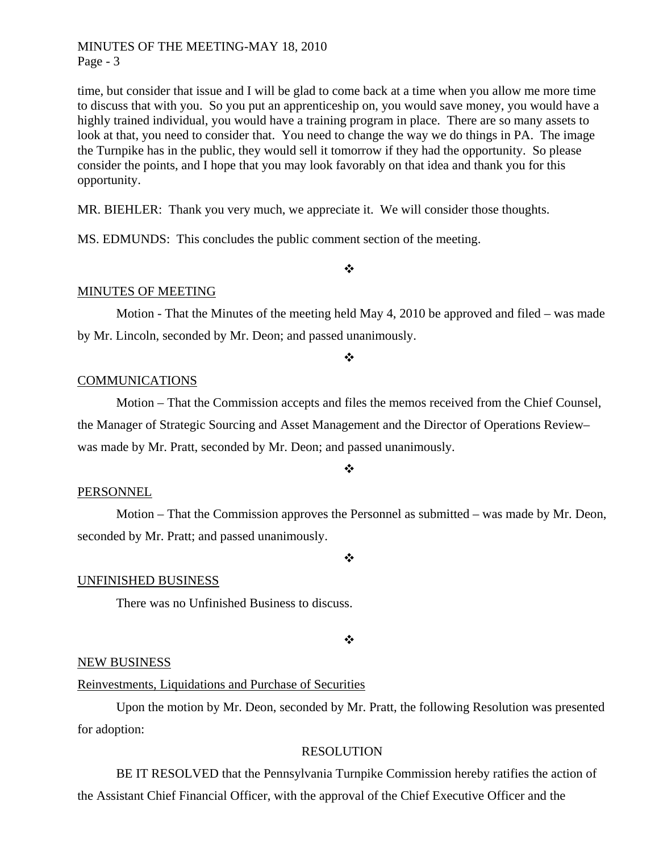time, but consider that issue and I will be glad to come back at a time when you allow me more time to discuss that with you. So you put an apprenticeship on, you would save money, you would have a highly trained individual, you would have a training program in place. There are so many assets to look at that, you need to consider that. You need to change the way we do things in PA. The image the Turnpike has in the public, they would sell it tomorrow if they had the opportunity. So please consider the points, and I hope that you may look favorably on that idea and thank you for this opportunity.

MR. BIEHLER: Thank you very much, we appreciate it. We will consider those thoughts.

MS. EDMUNDS: This concludes the public comment section of the meeting.

## MINUTES OF MEETING

Motion - That the Minutes of the meeting held May 4, 2010 be approved and filed – was made by Mr. Lincoln, seconded by Mr. Deon; and passed unanimously.

#### $\frac{1}{2}$

 $\bullet^{\bullet}_{\bullet} \bullet$ 

### COMMUNICATIONS

 Motion – That the Commission accepts and files the memos received from the Chief Counsel, the Manager of Strategic Sourcing and Asset Management and the Director of Operations Review– was made by Mr. Pratt, seconded by Mr. Deon; and passed unanimously.

#### $\ddot{\cdot}$

### PERSONNEL

 Motion – That the Commission approves the Personnel as submitted – was made by Mr. Deon, seconded by Mr. Pratt; and passed unanimously.

### $\frac{1}{2}$

### UNFINISHED BUSINESS

There was no Unfinished Business to discuss.

#### ❖

### NEW BUSINESS

### Reinvestments, Liquidations and Purchase of Securities

 Upon the motion by Mr. Deon, seconded by Mr. Pratt, the following Resolution was presented for adoption:

## RESOLUTION

 BE IT RESOLVED that the Pennsylvania Turnpike Commission hereby ratifies the action of the Assistant Chief Financial Officer, with the approval of the Chief Executive Officer and the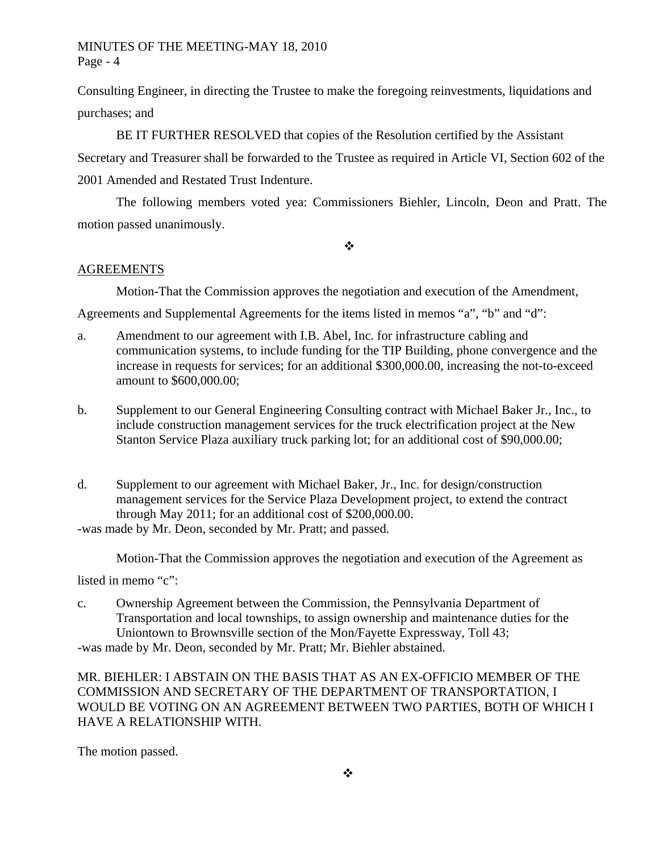Consulting Engineer, in directing the Trustee to make the foregoing reinvestments, liquidations and purchases; and

 BE IT FURTHER RESOLVED that copies of the Resolution certified by the Assistant Secretary and Treasurer shall be forwarded to the Trustee as required in Article VI, Section 602 of the 2001 Amended and Restated Trust Indenture.

The following members voted yea: Commissioners Biehler, Lincoln, Deon and Pratt. The motion passed unanimously.

 $\ddot{\cdot}$ 

## AGREEMENTS

Motion-That the Commission approves the negotiation and execution of the Amendment,

Agreements and Supplemental Agreements for the items listed in memos "a", "b" and "d":

- a. Amendment to our agreement with I.B. Abel, Inc. for infrastructure cabling and communication systems, to include funding for the TIP Building, phone convergence and the increase in requests for services; for an additional \$300,000.00, increasing the not-to-exceed amount to \$600,000.00;
- b. Supplement to our General Engineering Consulting contract with Michael Baker Jr., Inc., to include construction management services for the truck electrification project at the New Stanton Service Plaza auxiliary truck parking lot; for an additional cost of \$90,000.00;
- d. Supplement to our agreement with Michael Baker, Jr., Inc. for design/construction management services for the Service Plaza Development project, to extend the contract through May 2011; for an additional cost of \$200,000.00.

-was made by Mr. Deon, seconded by Mr. Pratt; and passed.

Motion-That the Commission approves the negotiation and execution of the Agreement as

listed in memo "c":

c. Ownership Agreement between the Commission, the Pennsylvania Department of Transportation and local townships, to assign ownership and maintenance duties for the Uniontown to Brownsville section of the Mon/Fayette Expressway, Toll 43;

-was made by Mr. Deon, seconded by Mr. Pratt; Mr. Biehler abstained.

MR. BIEHLER: I ABSTAIN ON THE BASIS THAT AS AN EX-OFFICIO MEMBER OF THE COMMISSION AND SECRETARY OF THE DEPARTMENT OF TRANSPORTATION, I WOULD BE VOTING ON AN AGREEMENT BETWEEN TWO PARTIES, BOTH OF WHICH I HAVE A RELATIONSHIP WITH.

The motion passed.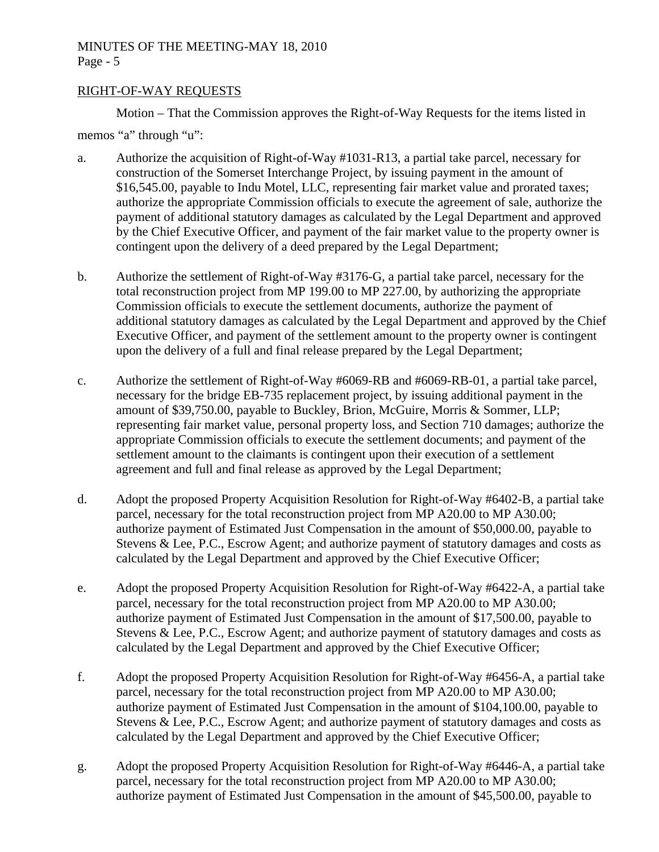# RIGHT-OF-WAY REQUESTS

Motion – That the Commission approves the Right-of-Way Requests for the items listed in memos "a" through "u":

- a. Authorize the acquisition of Right-of-Way #1031-R13, a partial take parcel, necessary for construction of the Somerset Interchange Project, by issuing payment in the amount of \$16,545.00, payable to Indu Motel, LLC, representing fair market value and prorated taxes; authorize the appropriate Commission officials to execute the agreement of sale, authorize the payment of additional statutory damages as calculated by the Legal Department and approved by the Chief Executive Officer, and payment of the fair market value to the property owner is contingent upon the delivery of a deed prepared by the Legal Department;
- b. Authorize the settlement of Right-of-Way #3176-G, a partial take parcel, necessary for the total reconstruction project from MP 199.00 to MP 227.00, by authorizing the appropriate Commission officials to execute the settlement documents, authorize the payment of additional statutory damages as calculated by the Legal Department and approved by the Chief Executive Officer, and payment of the settlement amount to the property owner is contingent upon the delivery of a full and final release prepared by the Legal Department;
- c. Authorize the settlement of Right-of-Way #6069-RB and #6069-RB-01, a partial take parcel, necessary for the bridge EB-735 replacement project, by issuing additional payment in the amount of \$39,750.00, payable to Buckley, Brion, McGuire, Morris & Sommer, LLP; representing fair market value, personal property loss, and Section 710 damages; authorize the appropriate Commission officials to execute the settlement documents; and payment of the settlement amount to the claimants is contingent upon their execution of a settlement agreement and full and final release as approved by the Legal Department;
- d. Adopt the proposed Property Acquisition Resolution for Right-of-Way #6402-B, a partial take parcel, necessary for the total reconstruction project from MP A20.00 to MP A30.00; authorize payment of Estimated Just Compensation in the amount of \$50,000.00, payable to Stevens & Lee, P.C., Escrow Agent; and authorize payment of statutory damages and costs as calculated by the Legal Department and approved by the Chief Executive Officer;
- e. Adopt the proposed Property Acquisition Resolution for Right-of-Way #6422-A, a partial take parcel, necessary for the total reconstruction project from MP A20.00 to MP A30.00; authorize payment of Estimated Just Compensation in the amount of \$17,500.00, payable to Stevens & Lee, P.C., Escrow Agent; and authorize payment of statutory damages and costs as calculated by the Legal Department and approved by the Chief Executive Officer;
- f. Adopt the proposed Property Acquisition Resolution for Right-of-Way #6456-A, a partial take parcel, necessary for the total reconstruction project from MP A20.00 to MP A30.00; authorize payment of Estimated Just Compensation in the amount of \$104,100.00, payable to Stevens & Lee, P.C., Escrow Agent; and authorize payment of statutory damages and costs as calculated by the Legal Department and approved by the Chief Executive Officer;
- g. Adopt the proposed Property Acquisition Resolution for Right-of-Way #6446-A, a partial take parcel, necessary for the total reconstruction project from MP A20.00 to MP A30.00; authorize payment of Estimated Just Compensation in the amount of \$45,500.00, payable to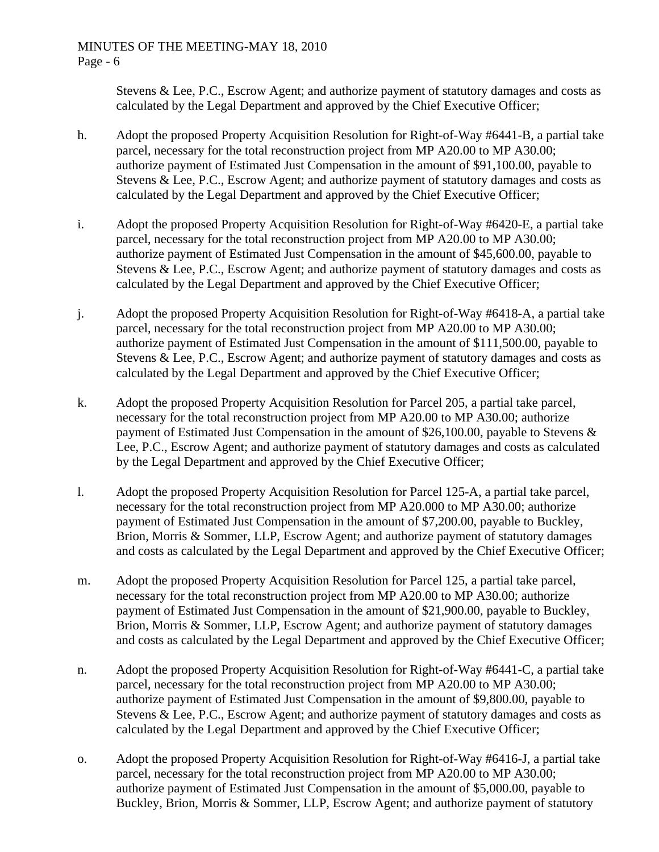Stevens & Lee, P.C., Escrow Agent; and authorize payment of statutory damages and costs as calculated by the Legal Department and approved by the Chief Executive Officer;

- h. Adopt the proposed Property Acquisition Resolution for Right-of-Way #6441-B, a partial take parcel, necessary for the total reconstruction project from MP A20.00 to MP A30.00; authorize payment of Estimated Just Compensation in the amount of \$91,100.00, payable to Stevens & Lee, P.C., Escrow Agent; and authorize payment of statutory damages and costs as calculated by the Legal Department and approved by the Chief Executive Officer;
- i. Adopt the proposed Property Acquisition Resolution for Right-of-Way #6420-E, a partial take parcel, necessary for the total reconstruction project from MP A20.00 to MP A30.00; authorize payment of Estimated Just Compensation in the amount of \$45,600.00, payable to Stevens & Lee, P.C., Escrow Agent; and authorize payment of statutory damages and costs as calculated by the Legal Department and approved by the Chief Executive Officer;
- j. Adopt the proposed Property Acquisition Resolution for Right-of-Way #6418-A, a partial take parcel, necessary for the total reconstruction project from MP A20.00 to MP A30.00; authorize payment of Estimated Just Compensation in the amount of \$111,500.00, payable to Stevens & Lee, P.C., Escrow Agent; and authorize payment of statutory damages and costs as calculated by the Legal Department and approved by the Chief Executive Officer;
- k. Adopt the proposed Property Acquisition Resolution for Parcel 205, a partial take parcel, necessary for the total reconstruction project from MP A20.00 to MP A30.00; authorize payment of Estimated Just Compensation in the amount of \$26,100.00, payable to Stevens & Lee, P.C., Escrow Agent; and authorize payment of statutory damages and costs as calculated by the Legal Department and approved by the Chief Executive Officer;
- l. Adopt the proposed Property Acquisition Resolution for Parcel 125-A, a partial take parcel, necessary for the total reconstruction project from MP A20.000 to MP A30.00; authorize payment of Estimated Just Compensation in the amount of \$7,200.00, payable to Buckley, Brion, Morris & Sommer, LLP, Escrow Agent; and authorize payment of statutory damages and costs as calculated by the Legal Department and approved by the Chief Executive Officer;
- m. Adopt the proposed Property Acquisition Resolution for Parcel 125, a partial take parcel, necessary for the total reconstruction project from MP A20.00 to MP A30.00; authorize payment of Estimated Just Compensation in the amount of \$21,900.00, payable to Buckley, Brion, Morris & Sommer, LLP, Escrow Agent; and authorize payment of statutory damages and costs as calculated by the Legal Department and approved by the Chief Executive Officer;
- n. Adopt the proposed Property Acquisition Resolution for Right-of-Way #6441-C, a partial take parcel, necessary for the total reconstruction project from MP A20.00 to MP A30.00; authorize payment of Estimated Just Compensation in the amount of \$9,800.00, payable to Stevens & Lee, P.C., Escrow Agent; and authorize payment of statutory damages and costs as calculated by the Legal Department and approved by the Chief Executive Officer;
- o. Adopt the proposed Property Acquisition Resolution for Right-of-Way #6416-J, a partial take parcel, necessary for the total reconstruction project from MP A20.00 to MP A30.00; authorize payment of Estimated Just Compensation in the amount of \$5,000.00, payable to Buckley, Brion, Morris & Sommer, LLP, Escrow Agent; and authorize payment of statutory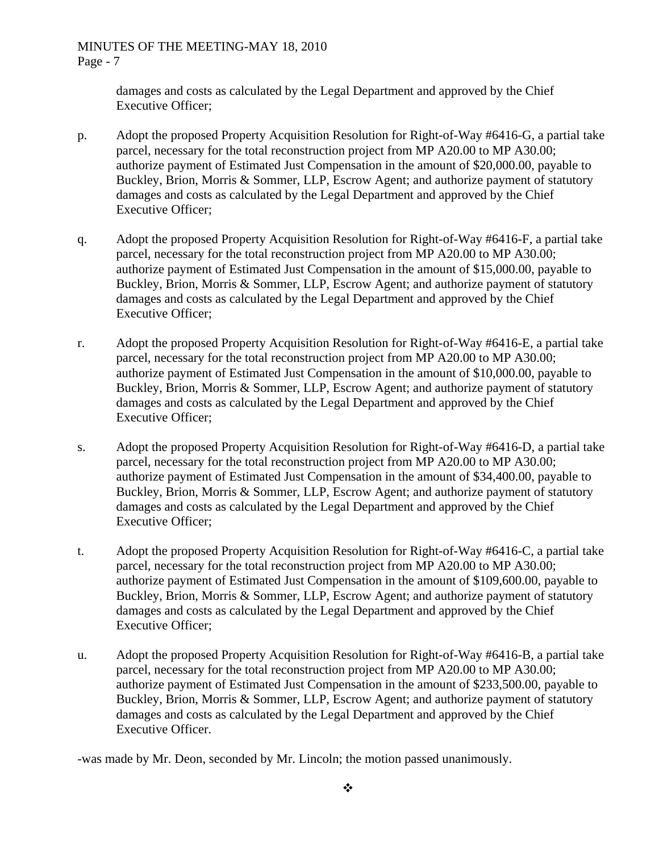damages and costs as calculated by the Legal Department and approved by the Chief Executive Officer;

- p. Adopt the proposed Property Acquisition Resolution for Right-of-Way #6416-G, a partial take parcel, necessary for the total reconstruction project from MP A20.00 to MP A30.00; authorize payment of Estimated Just Compensation in the amount of \$20,000.00, payable to Buckley, Brion, Morris & Sommer, LLP, Escrow Agent; and authorize payment of statutory damages and costs as calculated by the Legal Department and approved by the Chief Executive Officer;
- q. Adopt the proposed Property Acquisition Resolution for Right-of-Way #6416-F, a partial take parcel, necessary for the total reconstruction project from MP A20.00 to MP A30.00; authorize payment of Estimated Just Compensation in the amount of \$15,000.00, payable to Buckley, Brion, Morris & Sommer, LLP, Escrow Agent; and authorize payment of statutory damages and costs as calculated by the Legal Department and approved by the Chief Executive Officer;
- r. Adopt the proposed Property Acquisition Resolution for Right-of-Way #6416-E, a partial take parcel, necessary for the total reconstruction project from MP A20.00 to MP A30.00; authorize payment of Estimated Just Compensation in the amount of \$10,000.00, payable to Buckley, Brion, Morris & Sommer, LLP, Escrow Agent; and authorize payment of statutory damages and costs as calculated by the Legal Department and approved by the Chief Executive Officer;
- s. Adopt the proposed Property Acquisition Resolution for Right-of-Way #6416-D, a partial take parcel, necessary for the total reconstruction project from MP A20.00 to MP A30.00; authorize payment of Estimated Just Compensation in the amount of \$34,400.00, payable to Buckley, Brion, Morris & Sommer, LLP, Escrow Agent; and authorize payment of statutory damages and costs as calculated by the Legal Department and approved by the Chief Executive Officer;
- t. Adopt the proposed Property Acquisition Resolution for Right-of-Way #6416-C, a partial take parcel, necessary for the total reconstruction project from MP A20.00 to MP A30.00; authorize payment of Estimated Just Compensation in the amount of \$109,600.00, payable to Buckley, Brion, Morris & Sommer, LLP, Escrow Agent; and authorize payment of statutory damages and costs as calculated by the Legal Department and approved by the Chief Executive Officer;
- u. Adopt the proposed Property Acquisition Resolution for Right-of-Way #6416-B, a partial take parcel, necessary for the total reconstruction project from MP A20.00 to MP A30.00; authorize payment of Estimated Just Compensation in the amount of \$233,500.00, payable to Buckley, Brion, Morris & Sommer, LLP, Escrow Agent; and authorize payment of statutory damages and costs as calculated by the Legal Department and approved by the Chief Executive Officer.

-was made by Mr. Deon, seconded by Mr. Lincoln; the motion passed unanimously.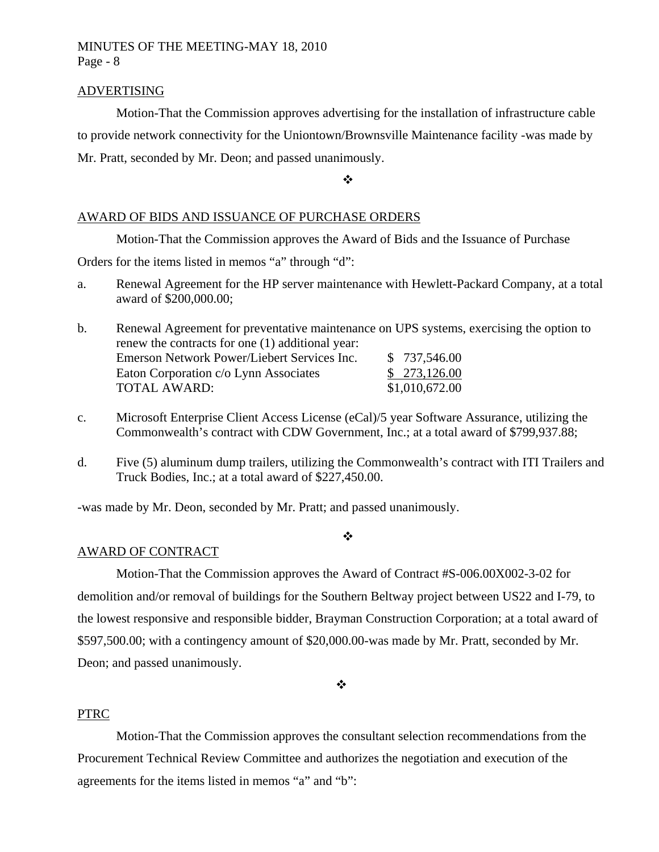### ADVERTISING

Motion-That the Commission approves advertising for the installation of infrastructure cable to provide network connectivity for the Uniontown/Brownsville Maintenance facility -was made by Mr. Pratt, seconded by Mr. Deon; and passed unanimously.

 $\ddot{\cdot}$ 

# AWARD OF BIDS AND ISSUANCE OF PURCHASE ORDERS

Motion-That the Commission approves the Award of Bids and the Issuance of Purchase

Orders for the items listed in memos "a" through "d":

a. Renewal Agreement for the HP server maintenance with Hewlett-Packard Company, at a total award of \$200,000.00;

b. Renewal Agreement for preventative maintenance on UPS systems, exercising the option to renew the contracts for one (1) additional year: Emerson Network Power/Liebert Services Inc. \$737,546.00 Eaton Corporation c/o Lynn Associates \$ 273,126.00 TOTAL AWARD: \$1,010,672.00

- c. Microsoft Enterprise Client Access License (eCal)/5 year Software Assurance, utilizing the Commonwealth's contract with CDW Government, Inc.; at a total award of \$799,937.88;
- d. Five (5) aluminum dump trailers, utilizing the Commonwealth's contract with ITI Trailers and Truck Bodies, Inc.; at a total award of \$227,450.00.

-was made by Mr. Deon, seconded by Mr. Pratt; and passed unanimously.

### $\cdot$

## AWARD OF CONTRACT

Motion-That the Commission approves the Award of Contract #S-006.00X002-3-02 for demolition and/or removal of buildings for the Southern Beltway project between US22 and I-79, to the lowest responsive and responsible bidder, Brayman Construction Corporation; at a total award of \$597,500.00; with a contingency amount of \$20,000.00-was made by Mr. Pratt, seconded by Mr. Deon; and passed unanimously.

❖

## PTRC

Motion-That the Commission approves the consultant selection recommendations from the Procurement Technical Review Committee and authorizes the negotiation and execution of the agreements for the items listed in memos "a" and "b":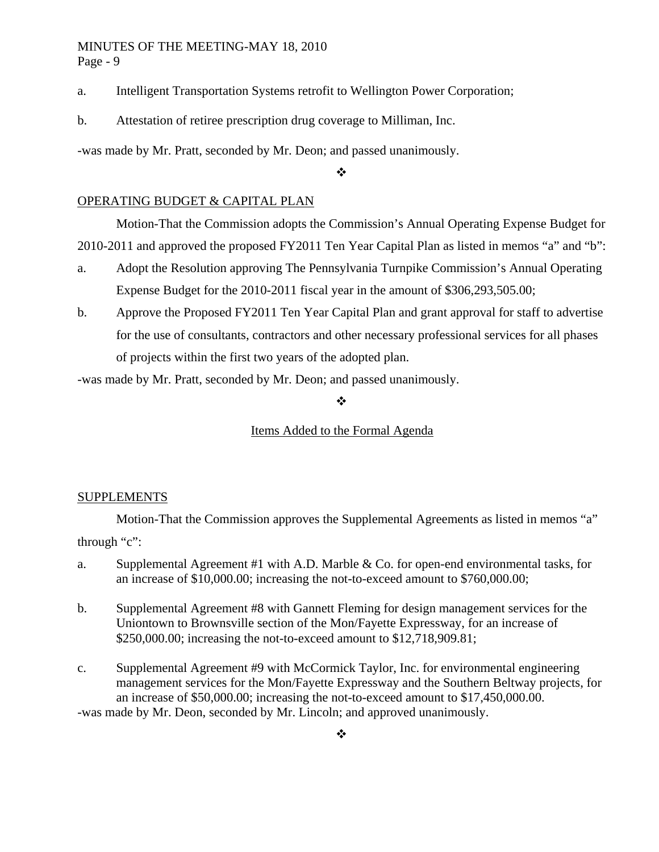- a. Intelligent Transportation Systems retrofit to Wellington Power Corporation;
- b. Attestation of retiree prescription drug coverage to Milliman, Inc.

-was made by Mr. Pratt, seconded by Mr. Deon; and passed unanimously.

## $\frac{1}{2}$

## OPERATING BUDGET & CAPITAL PLAN

 Motion-That the Commission adopts the Commission's Annual Operating Expense Budget for 2010-2011 and approved the proposed FY2011 Ten Year Capital Plan as listed in memos "a" and "b":

- a. Adopt the Resolution approving The Pennsylvania Turnpike Commission's Annual Operating Expense Budget for the 2010-2011 fiscal year in the amount of \$306,293,505.00;
- b. Approve the Proposed FY2011 Ten Year Capital Plan and grant approval for staff to advertise for the use of consultants, contractors and other necessary professional services for all phases of projects within the first two years of the adopted plan.

-was made by Mr. Pratt, seconded by Mr. Deon; and passed unanimously.

❖

## Items Added to the Formal Agenda

### SUPPLEMENTS

Motion-That the Commission approves the Supplemental Agreements as listed in memos "a"

through "c":

- a. Supplemental Agreement #1 with A.D. Marble & Co. for open-end environmental tasks, for an increase of \$10,000.00; increasing the not-to-exceed amount to \$760,000.00;
- b. Supplemental Agreement #8 with Gannett Fleming for design management services for the Uniontown to Brownsville section of the Mon/Fayette Expressway, for an increase of \$250,000.00; increasing the not-to-exceed amount to \$12,718,909.81;
- c. Supplemental Agreement #9 with McCormick Taylor, Inc. for environmental engineering management services for the Mon/Fayette Expressway and the Southern Beltway projects, for an increase of \$50,000.00; increasing the not-to-exceed amount to \$17,450,000.00. -was made by Mr. Deon, seconded by Mr. Lincoln; and approved unanimously.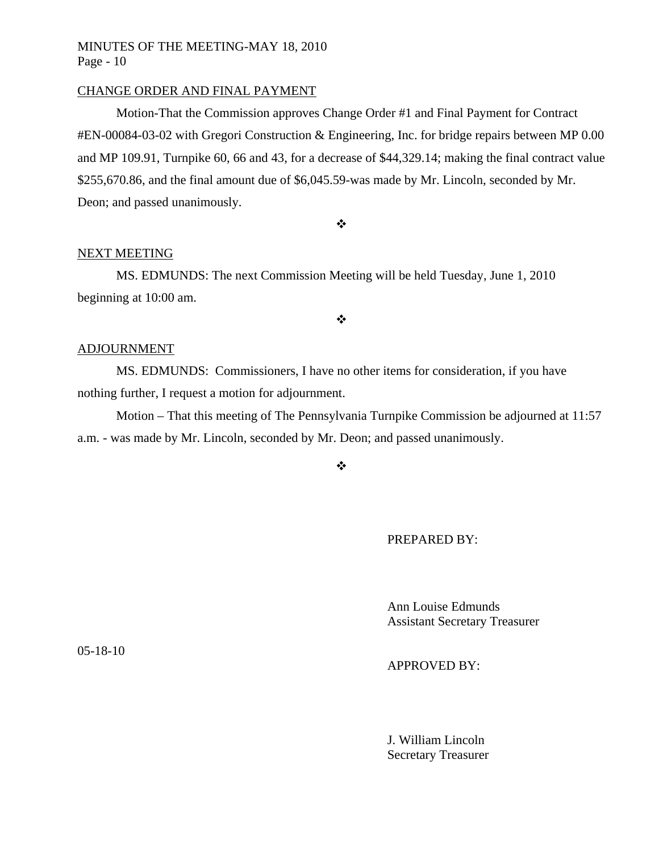### CHANGE ORDER AND FINAL PAYMENT

Motion-That the Commission approves Change Order #1 and Final Payment for Contract #EN-00084-03-02 with Gregori Construction & Engineering, Inc. for bridge repairs between MP 0.00 and MP 109.91, Turnpike 60, 66 and 43, for a decrease of \$44,329.14; making the final contract value \$255,670.86, and the final amount due of \$6,045.59-was made by Mr. Lincoln, seconded by Mr. Deon; and passed unanimously.

 $\ddot{\bullet}$ 

## NEXT MEETING

MS. EDMUNDS: The next Commission Meeting will be held Tuesday, June 1, 2010 beginning at 10:00 am.

 $\bullet^{\bullet}_{\bullet} \bullet$ 

## ADJOURNMENT

MS. EDMUNDS: Commissioners, I have no other items for consideration, if you have nothing further, I request a motion for adjournment.

Motion – That this meeting of The Pennsylvania Turnpike Commission be adjourned at 11:57 a.m. - was made by Mr. Lincoln, seconded by Mr. Deon; and passed unanimously.

 $\mathbf{r}^{\star}_{\mathbf{r}^{\star}}$ 

PREPARED BY:

 Ann Louise Edmunds Assistant Secretary Treasurer

APPROVED BY:

 J. William Lincoln Secretary Treasurer

05-18-10